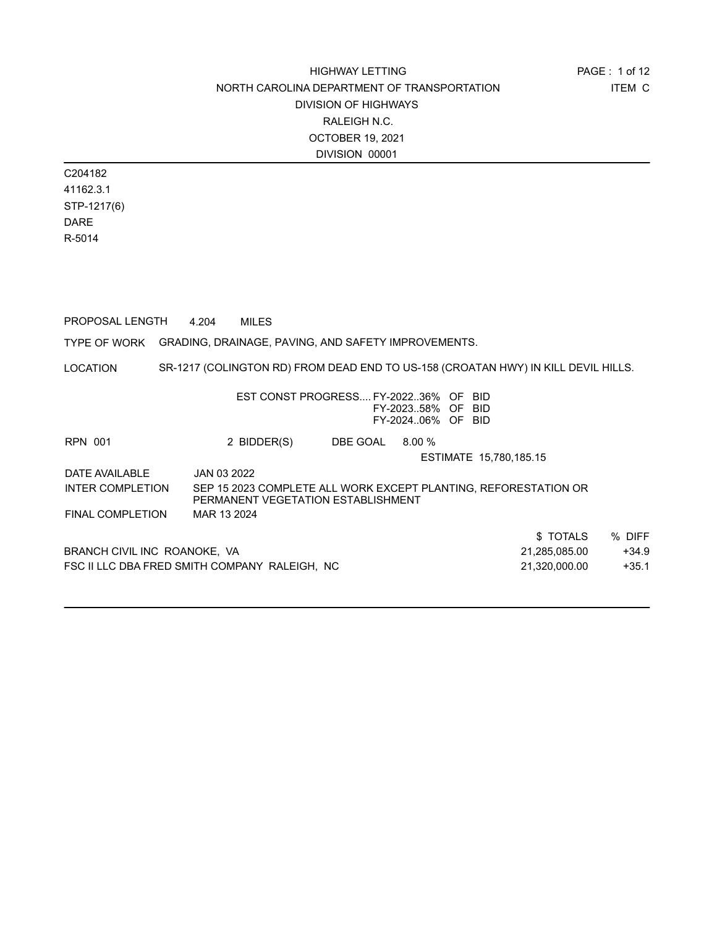C204182 41162.3.1 STP-1217(6) DARE R-5014

PROPOSAL LENGTH 4.204 MILES

TYPE OF WORK GRADING, DRAINAGE, PAVING, AND SAFETY IMPROVEMENTS.

LOCATION SR-1217 (COLINGTON RD) FROM DEAD END TO US-158 (CROATAN HWY) IN KILL DEVIL HILLS.

|                                               |                                    | EST CONST PROGRESS FY-202236% OF BID | FY-202358% OF BID<br>FY-202406% OF BID |                                                                 |         |
|-----------------------------------------------|------------------------------------|--------------------------------------|----------------------------------------|-----------------------------------------------------------------|---------|
| RPN 001                                       | 2 BIDDER(S)                        | DBE GOAL                             | $8.00\%$                               |                                                                 |         |
|                                               |                                    |                                      |                                        | ESTIMATE 15,780,185.15                                          |         |
| DATE AVAILABLE                                | JAN 03 2022                        |                                      |                                        |                                                                 |         |
| <b>INTER COMPLETION</b>                       | PERMANENT VEGETATION ESTABLISHMENT |                                      |                                        | SEP 15 2023 COMPLETE ALL WORK EXCEPT PLANTING, REFORESTATION OR |         |
| <b>FINAL COMPLETION</b>                       | MAR 13 2024                        |                                      |                                        |                                                                 |         |
|                                               |                                    |                                      |                                        | \$TOTALS                                                        | % DIFF  |
| BRANCH CIVIL INC ROANOKE, VA                  |                                    |                                      |                                        | 21,285,085.00                                                   | $+34.9$ |
| FSC II LLC DBA FRED SMITH COMPANY RALEIGH. NC |                                    |                                      |                                        | 21.320.000.00                                                   | $+35.1$ |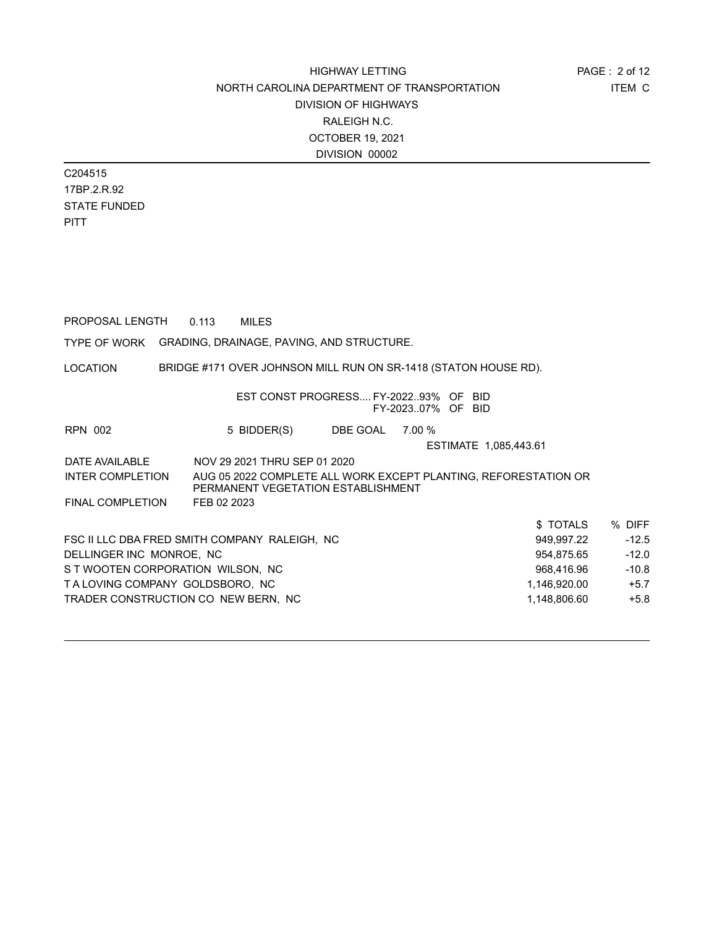C204515 17BP.2.R.92 STATE FUNDED **PITT** 

PROPOSAL LENGTH 0.113 MILES

TYPE OF WORK GRADING, DRAINAGE, PAVING, AND STRUCTURE.

LOCATION BRIDGE #171 OVER JOHNSON MILL RUN ON SR-1418 (STATON HOUSE RD).

|  | EST CONST PROGRESS FY-202293% OF BID<br>FY-202307% OF BID |  |  |  |
|--|-----------------------------------------------------------|--|--|--|
|--|-----------------------------------------------------------|--|--|--|

RPN 002 5 BIDDER(S) DBE GOAL 7.00 % ESTIMATE 1,085,443.61 DATE AVAILABLE NOV 29 2021 THRU SEP 01 2020 INTER COMPLETION AUG 05 2022 COMPLETE ALL WORK EXCEPT PLANTING, REFORESTATION OR PERMANENT VEGETATION ESTABLISHMENT

FINAL COMPLETION FEB 02 2023

| \$TOTALS                                                    | % DIFF  |
|-------------------------------------------------------------|---------|
| FSC II LLC DBA FRED SMITH COMPANY RALEIGH. NC<br>949.997.22 | $-12.5$ |
| DELLINGER INC MONROE. NC<br>954.875.65                      | $-12.0$ |
| S T WOOTEN CORPORATION WILSON. NC<br>968.416.96             | $-10.8$ |
| TALOVING COMPANY GOLDSBORO. NC<br>1.146.920.00              | $+5.7$  |
| TRADER CONSTRUCTION CO NEW BERN. NC<br>1.148.806.60         | $+5.8$  |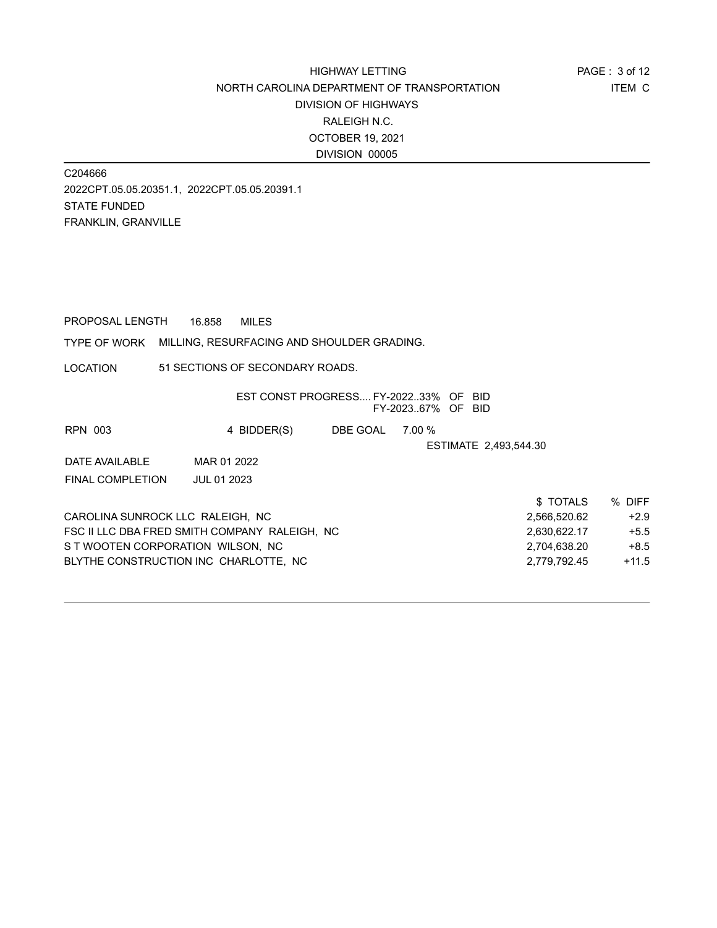C204666 2022CPT.05.05.20351.1, 2022CPT.05.05.20391.1 STATE FUNDED FRANKLIN, GRANVILLE

PROPOSAL LENGTH 16.858 MILES

#### TYPE OF WORK MILLING, RESURFACING AND SHOULDER GRADING.

LOCATION 51 SECTIONS OF SECONDARY ROADS.

|                                               | EST CONST PROGRESS FY-202233% OF BID  |          | FY-202367% OF BID |                       |              |         |
|-----------------------------------------------|---------------------------------------|----------|-------------------|-----------------------|--------------|---------|
| <b>RPN 003</b>                                | 4 BIDDER(S)                           | DBE GOAL | 7.00 %            |                       |              |         |
|                                               |                                       |          |                   | ESTIMATE 2,493,544.30 |              |         |
| DATE AVAILABLE                                | MAR 01 2022                           |          |                   |                       |              |         |
| <b>FINAL COMPLETION</b>                       | JUL 01 2023                           |          |                   |                       |              |         |
|                                               |                                       |          |                   |                       | \$TOTALS     | % DIFF  |
| CAROLINA SUNROCK LLC RALEIGH, NC              |                                       |          |                   |                       | 2,566,520.62 | $+2.9$  |
| FSC II LLC DBA FRED SMITH COMPANY RALEIGH, NC |                                       |          |                   |                       | 2,630,622.17 | $+5.5$  |
| S T WOOTEN CORPORATION WILSON. NC             |                                       |          |                   |                       | 2.704.638.20 | $+8.5$  |
|                                               | BLYTHE CONSTRUCTION INC CHARLOTTE. NC |          |                   |                       | 2,779,792.45 | $+11.5$ |
|                                               |                                       |          |                   |                       |              |         |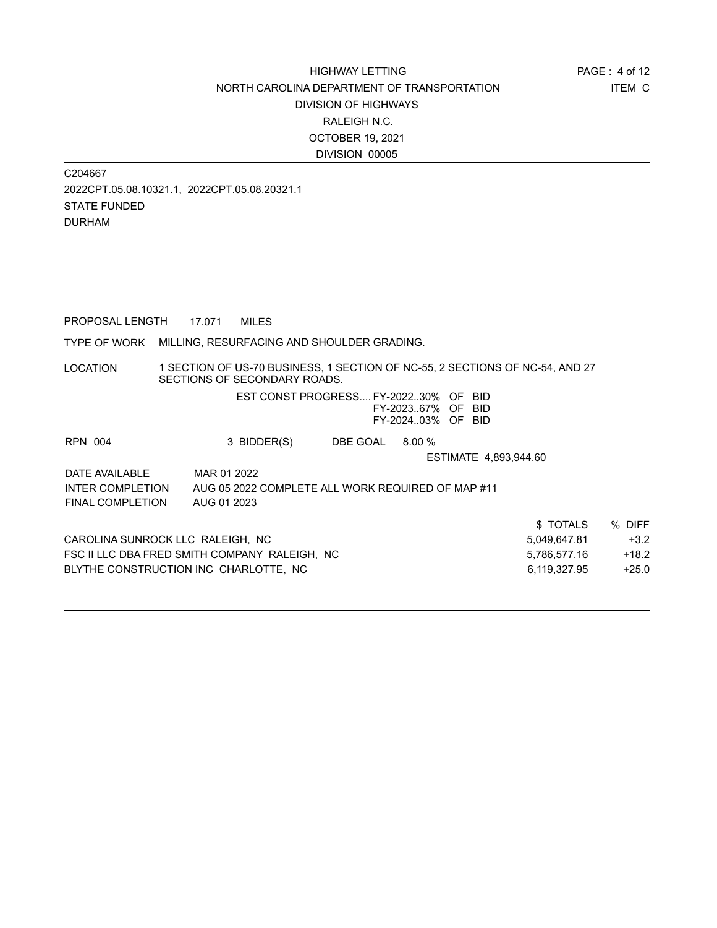C204667 2022CPT.05.08.10321.1, 2022CPT.05.08.20321.1 STATE FUNDED DURHAM

PROPOSAL LENGTH 17.071 MILES

TYPE OF WORK MILLING, RESURFACING AND SHOULDER GRADING.

LOCATION 1 SECTION OF US-70 BUSINESS, 1 SECTION OF NC-55, 2 SECTIONS OF NC-54, AND 27 SECTIONS OF SECONDARY ROADS.

| EST CONST PROGRESS FY-202230% OF BID |  |
|--------------------------------------|--|
| FY-202367% OF BID                    |  |
| FY-202403% OF BID                    |  |

| <b>RPN 004</b>                                | 3 BIDDER(S)                                       | DBE GOAL | 8.00%                 |              |         |
|-----------------------------------------------|---------------------------------------------------|----------|-----------------------|--------------|---------|
|                                               |                                                   |          | ESTIMATE 4,893,944.60 |              |         |
| DATE AVAILABLE                                | MAR 01 2022                                       |          |                       |              |         |
| <b>INTER COMPLETION</b>                       | AUG 05 2022 COMPLETE ALL WORK REQUIRED OF MAP #11 |          |                       |              |         |
| <b>FINAL COMPLETION</b>                       | AUG 01 2023                                       |          |                       |              |         |
|                                               |                                                   |          |                       | \$TOTALS     | % DIFF  |
| CAROLINA SUNROCK LLC RALEIGH, NC              |                                                   |          |                       | 5,049,647.81 | $+3.2$  |
| FSC II LLC DBA FRED SMITH COMPANY RALEIGH, NC |                                                   |          |                       | 5,786,577.16 | $+18.2$ |
| BLYTHE CONSTRUCTION INC CHARLOTTE, NC         |                                                   |          |                       | 6,119,327.95 | $+25.0$ |
|                                               |                                                   |          |                       |              |         |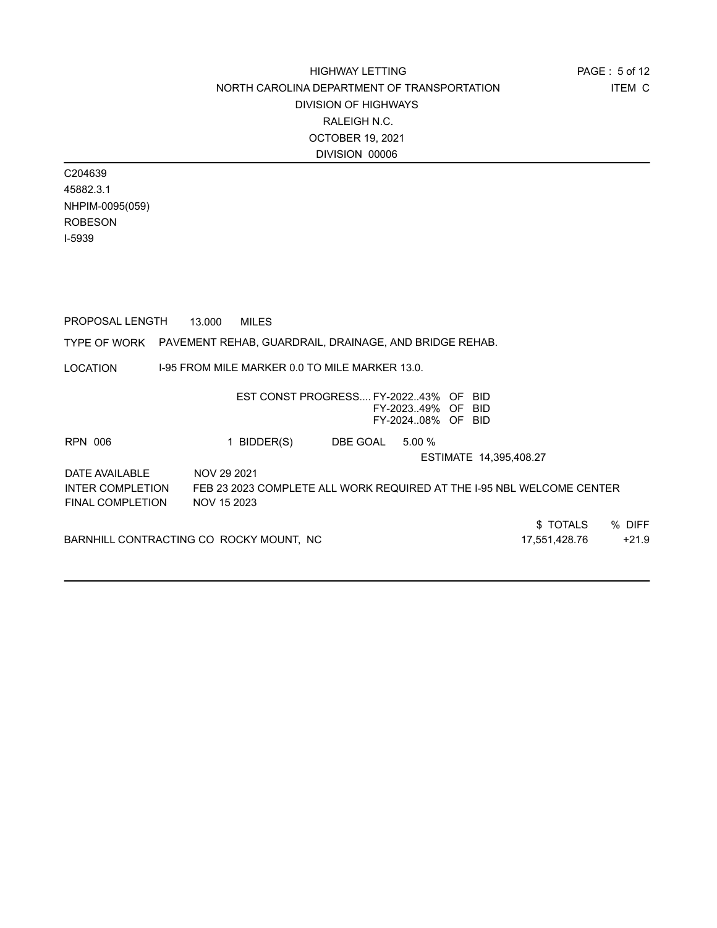C204639 45882.3.1 NHPIM-0095(059) ROBESON I-5939

| PROPOSAL LENGTH                                                      | 13.000                     | <b>MILES</b>                                                          |          |                                        |  |                        |                           |                   |
|----------------------------------------------------------------------|----------------------------|-----------------------------------------------------------------------|----------|----------------------------------------|--|------------------------|---------------------------|-------------------|
| TYPE OF WORK PAVEMENT REHAB, GUARDRAIL, DRAINAGE, AND BRIDGE REHAB.  |                            |                                                                       |          |                                        |  |                        |                           |                   |
| LOCATION                                                             |                            | 1-95 FROM MILE MARKER 0.0 TO MILE MARKER 13.0.                        |          |                                        |  |                        |                           |                   |
|                                                                      |                            | EST CONST PROGRESS FY-202243% OF BID                                  |          | FY-202349% OF BID<br>FY-202408% OF BID |  |                        |                           |                   |
| RPN 006                                                              |                            | 1 BIDDER(S)                                                           | DBE GOAL | 5.00%                                  |  | ESTIMATE 14.395.408.27 |                           |                   |
| DATE AVAILABLE<br><b>INTER COMPLETION</b><br><b>FINAL COMPLETION</b> | NOV 29 2021<br>NOV 15 2023 | FEB 23 2023 COMPLETE ALL WORK REQUIRED AT THE I-95 NBL WELCOME CENTER |          |                                        |  |                        |                           |                   |
| BARNHILL CONTRACTING CO ROCKY MOUNT, NC                              |                            |                                                                       |          |                                        |  |                        | \$TOTALS<br>17,551,428.76 | % DIFF<br>$+21.9$ |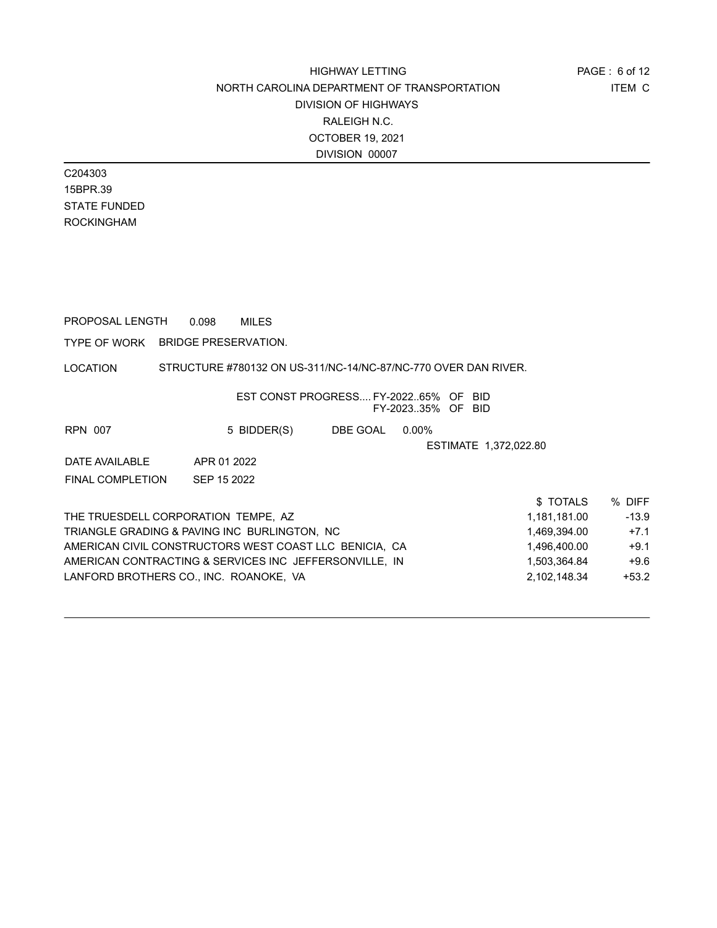C204303 15BPR.39 STATE FUNDED ROCKINGHAM

PROPOSAL LENGTH 0.098 MILES

TYPE OF WORK BRIDGE PRESERVATION.

LOCATION STRUCTURE #780132 ON US-311/NC-14/NC-87/NC-770 OVER DAN RIVER.

|                                                        | EST CONST PROGRESS FY-202265% OF |          | FY-202335% OF BID | -BID                  |              |         |
|--------------------------------------------------------|----------------------------------|----------|-------------------|-----------------------|--------------|---------|
| RPN 007                                                | 5 BIDDER(S)                      | DBE GOAL | $0.00\%$          |                       |              |         |
|                                                        |                                  |          |                   | ESTIMATE 1,372,022.80 |              |         |
| DATE AVAILABLE                                         | APR 01 2022                      |          |                   |                       |              |         |
| <b>FINAL COMPLETION</b>                                | SEP 15 2022                      |          |                   |                       |              |         |
|                                                        |                                  |          |                   |                       | \$TOTALS     | % DIFF  |
| THE TRUESDELL CORPORATION TEMPE. AZ                    |                                  |          |                   |                       | 1,181,181.00 | $-13.9$ |
| TRIANGLE GRADING & PAVING INC BURLINGTON. NC           |                                  |          |                   |                       | 1,469,394.00 | $+7.1$  |
| AMERICAN CIVIL CONSTRUCTORS WEST COAST LLC BENICIA. CA |                                  |          |                   |                       | 1,496,400.00 | $+9.1$  |
| AMERICAN CONTRACTING & SERVICES INC JEFFERSONVILLE. IN |                                  |          |                   |                       | 1.503.364.84 | $+9.6$  |
| LANFORD BROTHERS CO., INC. ROANOKE, VA                 |                                  |          |                   |                       | 2.102.148.34 | $+53.2$ |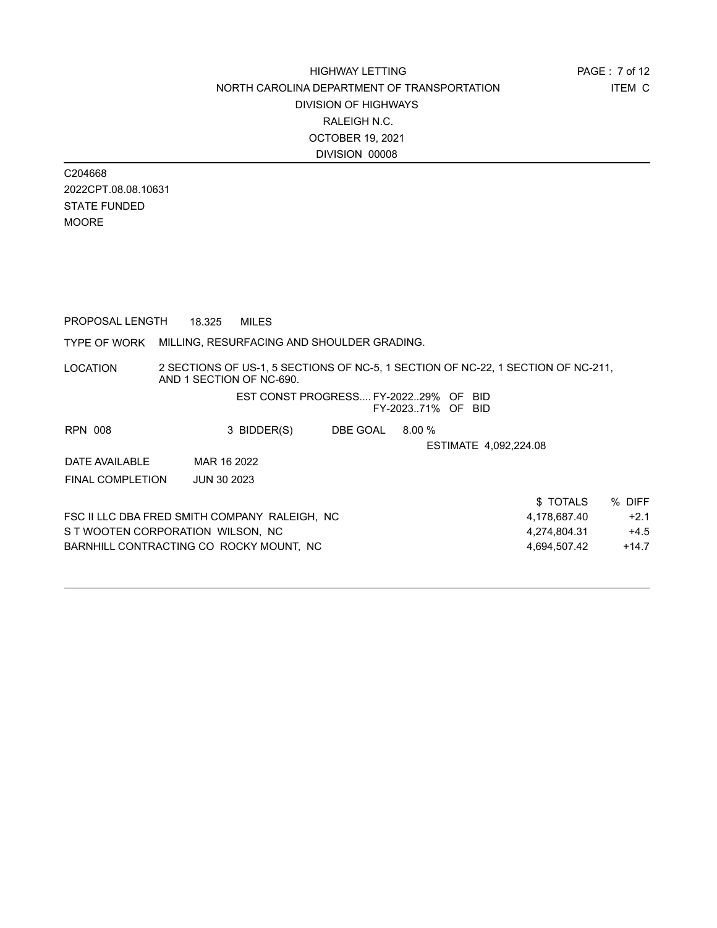C204668 2022CPT.08.08.10631 STATE FUNDED MOORE

PROPOSAL LENGTH 18.325 MILES

#### TYPE OF WORK MILLING, RESURFACING AND SHOULDER GRADING.

LOCATION 2 SECTIONS OF US-1, 5 SECTIONS OF NC-5, 1 SECTION OF NC-22, 1 SECTION OF NC-211, AND 1 SECTION OF NC-690.

> EST CONST PROGRESS.... FY-2022..29% OF BID FY-2023..71% OF BID

| <b>RPN 008</b>                    | 3 BIDDER(S)                                   | DBE GOAL     | $8.00\%$              |        |
|-----------------------------------|-----------------------------------------------|--------------|-----------------------|--------|
|                                   |                                               |              | ESTIMATE 4.092.224.08 |        |
| DATE AVAILABLE                    | MAR 16 2022                                   |              |                       |        |
| <b>FINAL COMPLETION</b>           | JUN 30 2023                                   |              |                       |        |
|                                   |                                               |              | \$TOTALS              | % DIFF |
|                                   | FSC II LLC DBA FRED SMITH COMPANY RALEIGH, NC |              | 4,178,687.40          | $+2.1$ |
| S T WOOTEN CORPORATION WILSON. NC |                                               |              | 4.274.804.31          | $+4.5$ |
|                                   | BARNHILL CONTRACTING CO ROCKY MOUNT, NC       | 4.694.507.42 | $+14.7$               |        |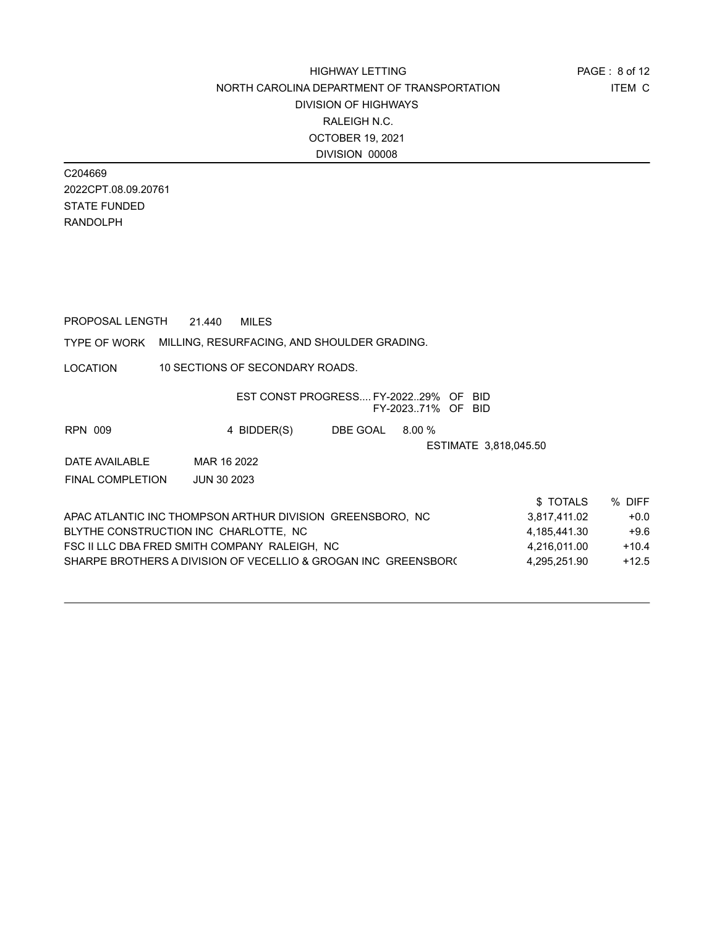C204669 2022CPT.08.09.20761 STATE FUNDED RANDOLPH

PROPOSAL LENGTH 21.440 MILES

#### TYPE OF WORK MILLING, RESURFACING, AND SHOULDER GRADING.

LOCATION 10 SECTIONS OF SECONDARY ROADS.

| EST CONST PROGRESS FY-202229% OF BID |  |
|--------------------------------------|--|
| FY-202371% OF BID                    |  |

RPN 009 4 BIDDER(S) DBE GOAL 8.00 %

ESTIMATE 3,818,045.50

DATE AVAILABLE MAR 16 2022 FINAL COMPLETION JUN 30 2023

| \$TOTALS                                                                       | % DIFF  |
|--------------------------------------------------------------------------------|---------|
| APAC ATLANTIC INC THOMPSON ARTHUR DIVISION GREENSBORO. NC<br>3.817.411.02      | $+0.0$  |
| BLYTHE CONSTRUCTION INC CHARLOTTE. NC<br>4,185,441.30                          | $+9.6$  |
| FSC II LLC DBA FRED SMITH COMPANY RALEIGH. NC<br>4.216.011.00                  | $+10.4$ |
| SHARPE BROTHERS A DIVISION OF VECELLIO & GROGAN INC GREENSBOR(<br>4.295.251.90 | $+12.5$ |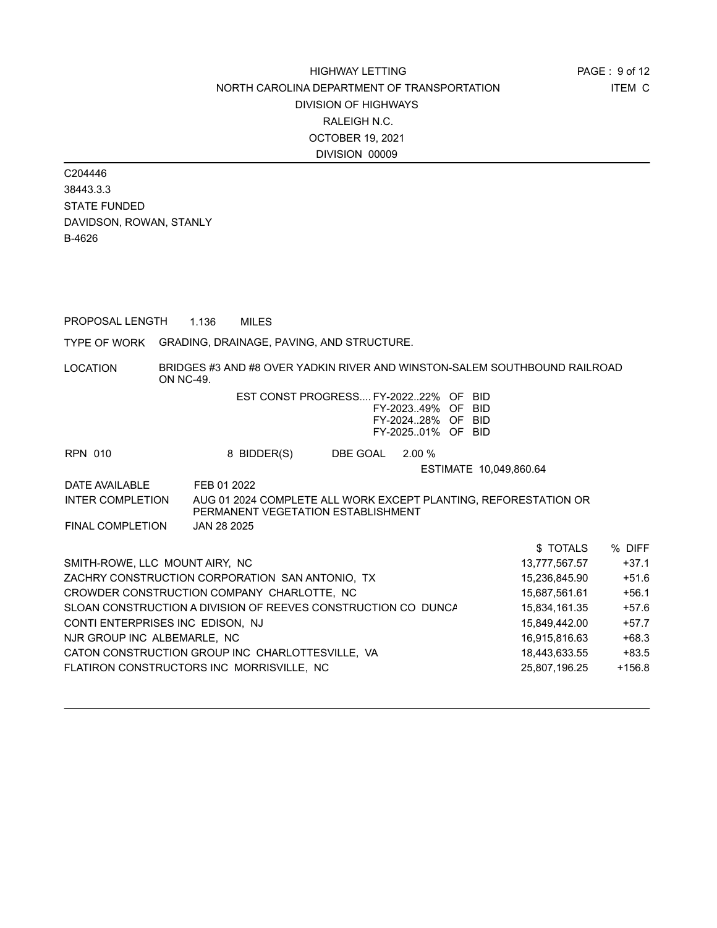C204446 38443.3.3 STATE FUNDED DAVIDSON, ROWAN, STANLY B-4626

PROPOSAL LENGTH 1.136 MILES

TYPE OF WORK GRADING, DRAINAGE, PAVING, AND STRUCTURE.

LOCATION BRIDGES #3 AND #8 OVER YADKIN RIVER AND WINSTON-SALEM SOUTHBOUND RAILROAD ON NC-49.

|                                  | EST CONST PROGRESS FY-202222% OF BID                          |          | FY-202349% OF BID<br>FY-202428% OF BID<br>FY-202501% OF BID |                                                                 |         |
|----------------------------------|---------------------------------------------------------------|----------|-------------------------------------------------------------|-----------------------------------------------------------------|---------|
| <b>RPN 010</b>                   | 8 BIDDER(S)                                                   | DBE GOAL | 2.00 %                                                      |                                                                 |         |
|                                  |                                                               |          |                                                             | ESTIMATE 10,049,860.64                                          |         |
| DATE AVAILABLE                   | FEB 01 2022                                                   |          |                                                             |                                                                 |         |
| <b>INTER COMPLETION</b>          | PERMANENT VEGETATION ESTABLISHMENT                            |          |                                                             | AUG 01 2024 COMPLETE ALL WORK EXCEPT PLANTING, REFORESTATION OR |         |
| <b>FINAL COMPLETION</b>          | <b>JAN 28 2025</b>                                            |          |                                                             |                                                                 |         |
|                                  |                                                               |          |                                                             | \$TOTALS                                                        | % DIFF  |
| SMITH-ROWE, LLC MOUNT AIRY, NC   |                                                               |          |                                                             | 13,777,567.57                                                   | $+37.1$ |
|                                  | ZACHRY CONSTRUCTION CORPORATION SAN ANTONIO, TX               |          |                                                             | 15,236,845.90                                                   | $+51.6$ |
|                                  | CROWDER CONSTRUCTION COMPANY CHARLOTTE. NC                    |          |                                                             | 15,687,561.61                                                   | $+56.1$ |
|                                  | SLOAN CONSTRUCTION A DIVISION OF REEVES CONSTRUCTION CO_DUNCA |          |                                                             | 15,834,161.35                                                   | $+57.6$ |
| CONTI ENTERPRISES INC EDISON, NJ |                                                               |          |                                                             | 15,849,442.00                                                   | $+57.7$ |
| NJR GROUP INC ALBEMARLE, NC      |                                                               |          |                                                             | 16,915,816.63                                                   | $+68.3$ |
|                                  | CATON CONSTRUCTION GROUP INC CHARLOTTESVILLE, VA              |          |                                                             | 18,443,633.55                                                   | $+83.5$ |

FLATIRON CONSTRUCTORS INC MORRISVILLE, NC  $25,807,196.25$  +156.8

ITEM C PAGE : 9 of 12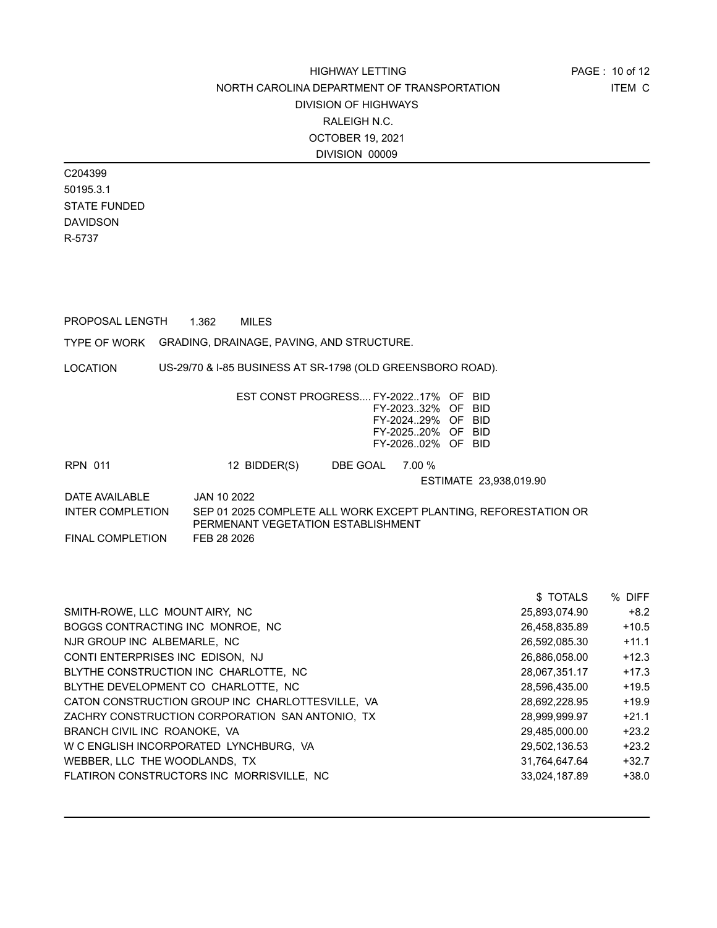C204399 50195.3.1 STATE FUNDED DAVIDSON R-5737

PROPOSAL LENGTH 1.362 MILES

TYPE OF WORK GRADING, DRAINAGE, PAVING, AND STRUCTURE.

LOCATION US-29/70 & I-85 BUSINESS AT SR-1798 (OLD GREENSBORO ROAD).

|                  | EST CONST PROGRESS FY-202217% OF BID                                                                  |          | FY-202332% OF BID<br>FY-202429% OF BID<br>FY-202520% OF BID<br>FY-202602% OF BID |                        |  |
|------------------|-------------------------------------------------------------------------------------------------------|----------|----------------------------------------------------------------------------------|------------------------|--|
| <b>RPN 011</b>   | 12 BIDDER(S)                                                                                          | DBE GOAL | 7.00 %                                                                           |                        |  |
|                  |                                                                                                       |          |                                                                                  | ESTIMATE 23,938,019.90 |  |
| DATE AVAILABLE   | JAN 10 2022                                                                                           |          |                                                                                  |                        |  |
| INTER COMPLETION | SEP 01 2025 COMPLETE ALL WORK EXCEPT PLANTING, REFORESTATION OR<br>PERMENANT VEGETATION ESTABLISHMENT |          |                                                                                  |                        |  |

| <b>FINAL COMPLETION</b> | FEB 28 2026 |
|-------------------------|-------------|
|                         |             |

|                                                  | \$TOTALS      | % DIFF  |
|--------------------------------------------------|---------------|---------|
| SMITH-ROWE, LLC MOUNT AIRY. NC                   | 25.893.074.90 | $+8.2$  |
| BOGGS CONTRACTING INC MONROE, NC                 | 26,458,835.89 | $+10.5$ |
| NJR GROUP INC ALBEMARLE, NC                      | 26,592,085.30 | $+11.1$ |
| CONTI ENTERPRISES INC EDISON, NJ                 | 26,886,058.00 | $+12.3$ |
| BLYTHE CONSTRUCTION INC CHARLOTTE. NC            | 28,067,351.17 | $+17.3$ |
| BLYTHE DEVELOPMENT CO CHARLOTTE. NC              | 28.596.435.00 | $+19.5$ |
| CATON CONSTRUCTION GROUP INC CHARLOTTESVILLE. VA | 28.692.228.95 | $+19.9$ |
| ZACHRY CONSTRUCTION CORPORATION SAN ANTONIO, TX  | 28.999.999.97 | $+21.1$ |
| BRANCH CIVIL INC ROANOKE, VA                     | 29.485.000.00 | $+23.2$ |
| W C ENGLISH INCORPORATED LYNCHBURG. VA           | 29,502,136.53 | $+23.2$ |
| WEBBER, LLC THE WOODLANDS, TX                    | 31.764.647.64 | $+32.7$ |
| FLATIRON CONSTRUCTORS INC MORRISVILLE, NC        | 33,024,187.89 | $+38.0$ |
|                                                  |               |         |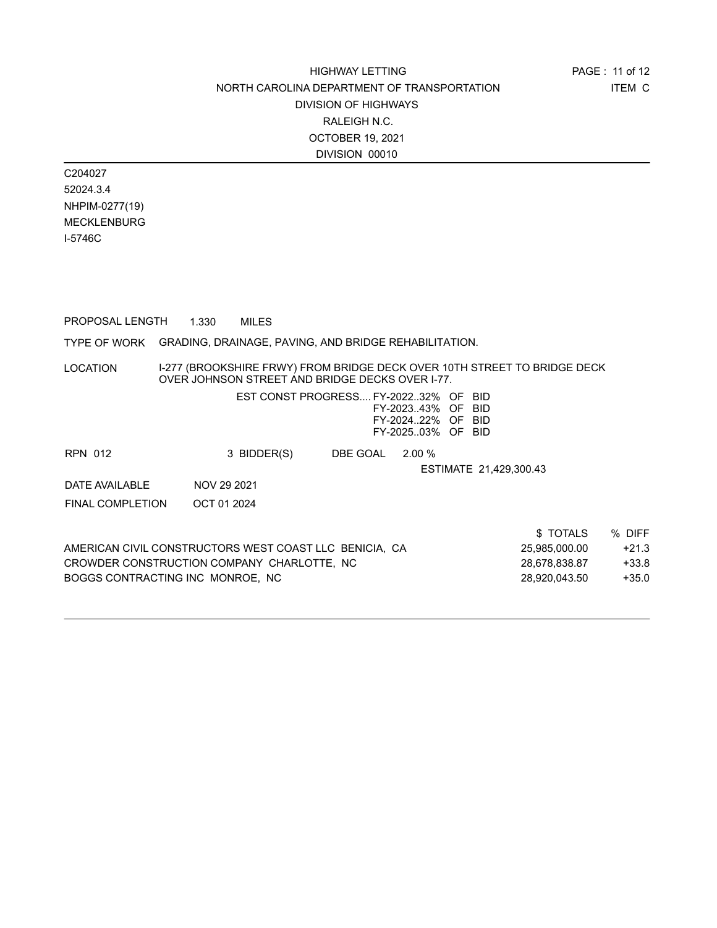C204027 52024.3.4 NHPIM-0277(19) MECKLENBURG I-5746C

PROPOSAL LENGTH 1.330 MILES

#### TYPE OF WORK GRADING, DRAINAGE, PAVING, AND BRIDGE REHABILITATION.

LOCATION I-277 (BROOKSHIRE FRWY) FROM BRIDGE DECK OVER 10TH STREET TO BRIDGE DECK OVER JOHNSON STREET AND BRIDGE DECKS OVER I-77.

|                                  | EST CONST PROGRESS FY-202232% OF BID                     |          | FY-202343% OF BID<br>FY-202422% OF BID<br>FY-202503% OF BID |                        |          |         |
|----------------------------------|----------------------------------------------------------|----------|-------------------------------------------------------------|------------------------|----------|---------|
| <b>RPN 012</b>                   | 3 BIDDER(S)                                              | DBE GOAL | 2.00%                                                       |                        |          |         |
|                                  |                                                          |          |                                                             | ESTIMATE 21,429,300.43 |          |         |
| DATE AVAILABLE                   | NOV 29 2021                                              |          |                                                             |                        |          |         |
| <b>FINAL COMPLETION</b>          | OCT 01 2024                                              |          |                                                             |                        |          |         |
|                                  |                                                          |          |                                                             |                        | \$TOTALS | % DIFF  |
|                                  | AMERICAN CIVIL CONSTRUCTORS WEST COAST LLC  BENICIA,  CA |          |                                                             | 25,985,000.00          |          | $+21.3$ |
|                                  | CROWDER CONSTRUCTION COMPANY CHARLOTTE. NC               |          |                                                             | 28.678.838.87          |          | $+33.8$ |
| BOGGS CONTRACTING INC MONROE, NC |                                                          |          |                                                             | 28,920,043.50          |          | $+35.0$ |
|                                  |                                                          |          |                                                             |                        |          |         |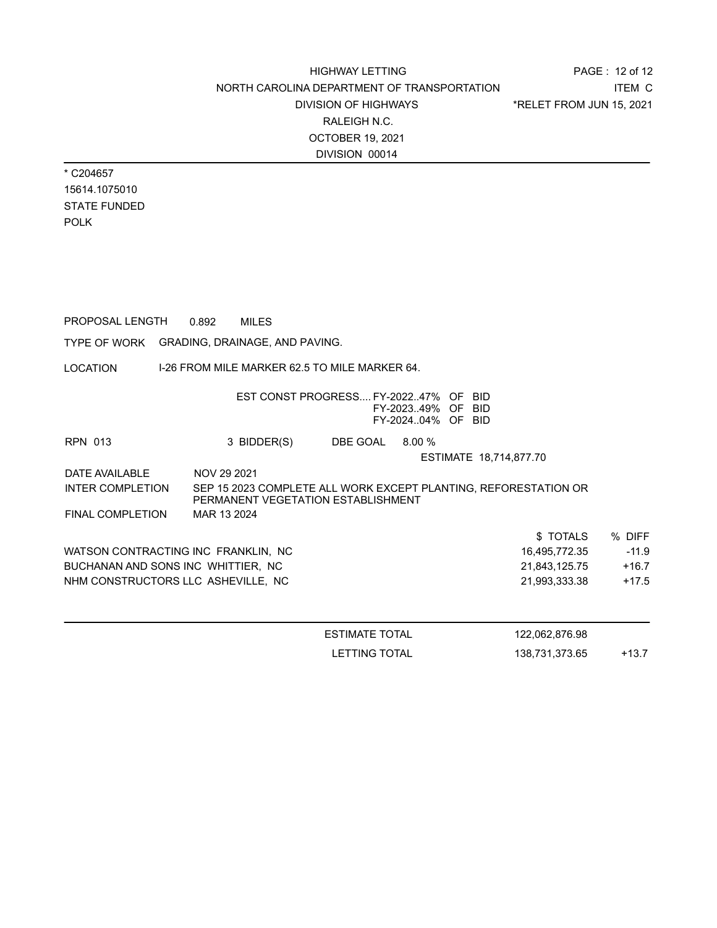\* C204657 15614.1075010 STATE FUNDED POLK

TYPE OF WORK GRADING, DRAINAGE, AND PAVING. PROPOSAL LENGTH 0.892 MILES

LOCATION I-26 FROM MILE MARKER 62.5 TO MILE MARKER 64.

|                                     | EST CONST PROGRESS FY-202247% OF BID |          | FY-202349% OF BID<br>FY-202404% OF BID |                                                                 |         |
|-------------------------------------|--------------------------------------|----------|----------------------------------------|-----------------------------------------------------------------|---------|
| <b>RPN 013</b>                      | 3 BIDDER(S)                          | DBE GOAL | 8.00%                                  |                                                                 |         |
|                                     |                                      |          |                                        | ESTIMATE 18,714,877.70                                          |         |
| DATE AVAILABLE                      | NOV 29 2021                          |          |                                        |                                                                 |         |
| INTER COMPLETION                    | PERMANENT VEGETATION ESTABLISHMENT   |          |                                        | SEP 15 2023 COMPLETE ALL WORK EXCEPT PLANTING, REFORESTATION OR |         |
| FINAL COMPLETION                    | MAR 13 2024                          |          |                                        |                                                                 |         |
|                                     |                                      |          |                                        | \$TOTALS                                                        | % DIFF  |
| WATSON CONTRACTING INC FRANKLIN, NC |                                      |          |                                        | 16,495,772.35                                                   | $-11.9$ |
| BUCHANAN AND SONS INC WHITTIER, NC  |                                      |          |                                        | 21,843,125.75                                                   | $+16.7$ |
| NHM CONSTRUCTORS LLC ASHEVILLE. NC  |                                      |          |                                        | 21.993.333.38                                                   | $+17.5$ |
|                                     |                                      |          |                                        |                                                                 |         |
|                                     |                                      |          |                                        |                                                                 |         |

| <b>ESTIMATE TOTAL</b><br>122,062,876.98 |         |
|-----------------------------------------|---------|
| LETTING TOTAL<br>138,731,373.65         | $+13.7$ |